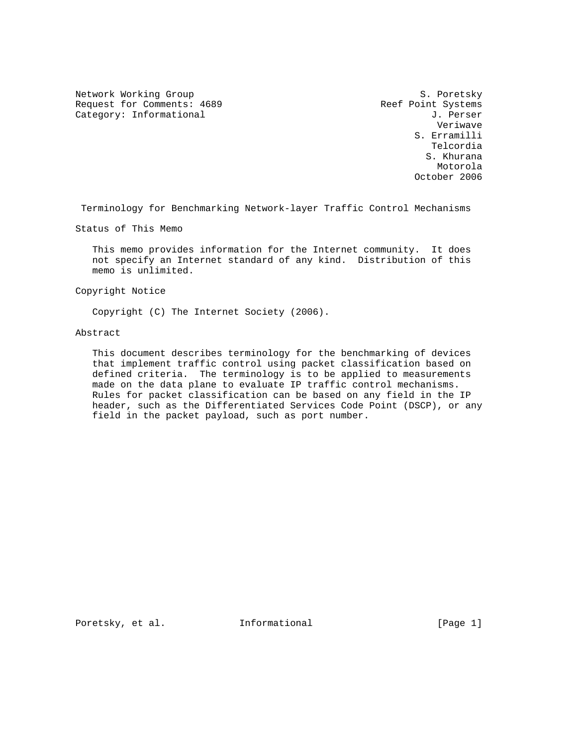Network Working Group S. Poretsky Request for Comments: 4689 Reef Point Systems Category: Informational  $J.$  Perser

 Veriwave S. Erramilli Telcordia S. Khurana Motorola October 2006

Terminology for Benchmarking Network-layer Traffic Control Mechanisms

Status of This Memo

 This memo provides information for the Internet community. It does not specify an Internet standard of any kind. Distribution of this memo is unlimited.

Copyright Notice

Copyright (C) The Internet Society (2006).

Abstract

 This document describes terminology for the benchmarking of devices that implement traffic control using packet classification based on defined criteria. The terminology is to be applied to measurements made on the data plane to evaluate IP traffic control mechanisms. Rules for packet classification can be based on any field in the IP header, such as the Differentiated Services Code Point (DSCP), or any field in the packet payload, such as port number.

Poretsky, et al. 1nformational 1999 [Page 1]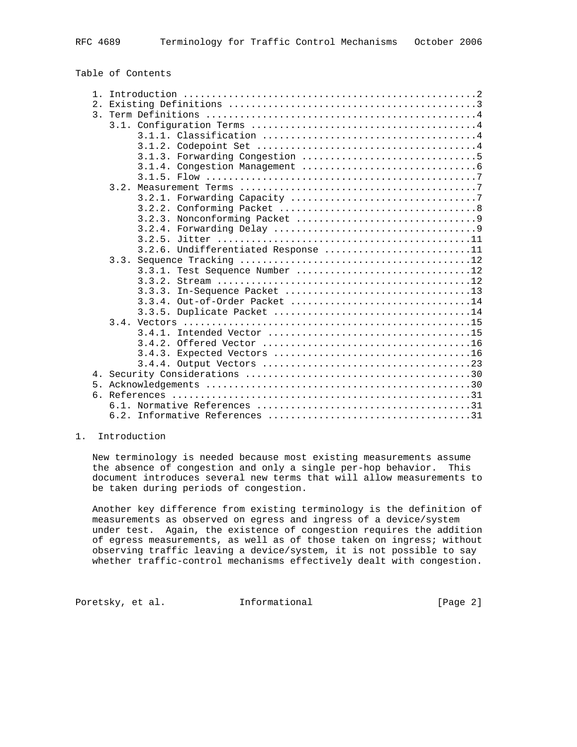| Table of Contents |  |
|-------------------|--|
|-------------------|--|

| 2.1            |                                     |
|----------------|-------------------------------------|
|                |                                     |
|                |                                     |
|                |                                     |
|                |                                     |
|                |                                     |
|                |                                     |
|                |                                     |
|                |                                     |
|                |                                     |
|                |                                     |
|                |                                     |
|                |                                     |
|                |                                     |
|                | 3.2.6. Undifferentiated Response 11 |
|                |                                     |
|                | 3.3.1. Test Sequence Number 12      |
|                | 3.3.2.                              |
|                | In-Sequence Packet 13<br>3.3.3.     |
|                | 3.3.4. Out-of-Order Packet 14       |
|                |                                     |
|                |                                     |
|                |                                     |
|                |                                     |
|                |                                     |
|                |                                     |
|                |                                     |
| 5 <sub>1</sub> |                                     |
|                |                                     |
|                |                                     |
|                |                                     |

# 1. Introduction

 New terminology is needed because most existing measurements assume the absence of congestion and only a single per-hop behavior. This document introduces several new terms that will allow measurements to be taken during periods of congestion.

 Another key difference from existing terminology is the definition of measurements as observed on egress and ingress of a device/system under test. Again, the existence of congestion requires the addition of egress measurements, as well as of those taken on ingress; without observing traffic leaving a device/system, it is not possible to say whether traffic-control mechanisms effectively dealt with congestion.

Poretsky, et al. **Informational** [Page 2]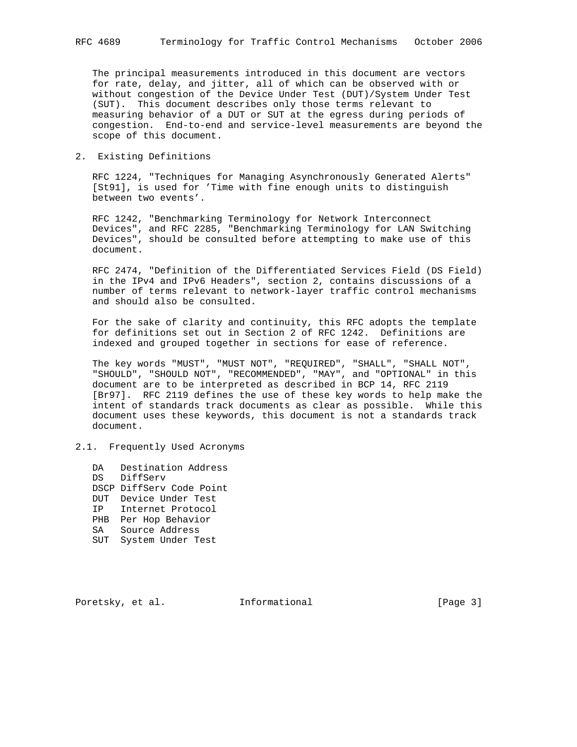The principal measurements introduced in this document are vectors for rate, delay, and jitter, all of which can be observed with or without congestion of the Device Under Test (DUT)/System Under Test (SUT). This document describes only those terms relevant to measuring behavior of a DUT or SUT at the egress during periods of congestion. End-to-end and service-level measurements are beyond the scope of this document.

2. Existing Definitions

 RFC 1224, "Techniques for Managing Asynchronously Generated Alerts" [St91], is used for 'Time with fine enough units to distinguish between two events'.

 RFC 1242, "Benchmarking Terminology for Network Interconnect Devices", and RFC 2285, "Benchmarking Terminology for LAN Switching Devices", should be consulted before attempting to make use of this document.

 RFC 2474, "Definition of the Differentiated Services Field (DS Field) in the IPv4 and IPv6 Headers", section 2, contains discussions of a number of terms relevant to network-layer traffic control mechanisms and should also be consulted.

 For the sake of clarity and continuity, this RFC adopts the template for definitions set out in Section 2 of RFC 1242. Definitions are indexed and grouped together in sections for ease of reference.

 The key words "MUST", "MUST NOT", "REQUIRED", "SHALL", "SHALL NOT", "SHOULD", "SHOULD NOT", "RECOMMENDED", "MAY", and "OPTIONAL" in this document are to be interpreted as described in BCP 14, RFC 2119 [Br97]. RFC 2119 defines the use of these key words to help make the intent of standards track documents as clear as possible. While this document uses these keywords, this document is not a standards track document.

2.1. Frequently Used Acronyms

 DA Destination Address DS DiffServ DSCP DiffServ Code Point DUT Device Under Test IP Internet Protocol PHB Per Hop Behavior SA Source Address SUT System Under Test

Poretsky, et al. **Informational** [Page 3]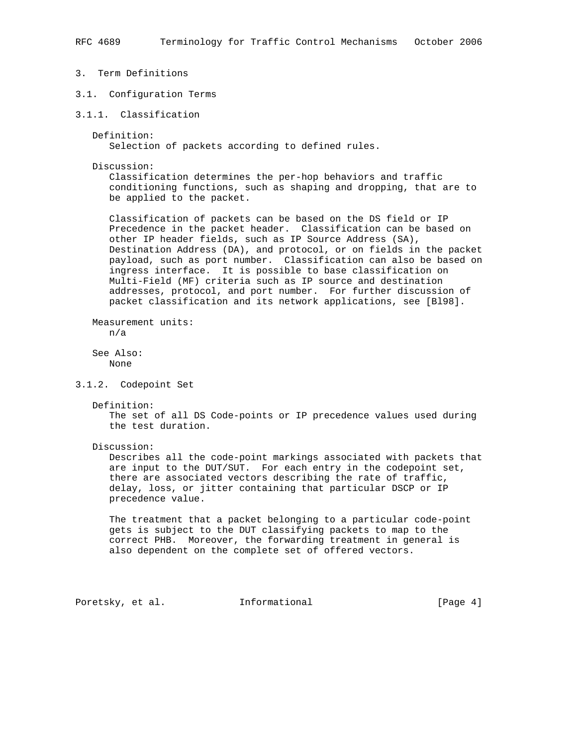- 3. Term Definitions
- 3.1. Configuration Terms
- 3.1.1. Classification

 Definition: Selection of packets according to defined rules.

Discussion:

 Classification determines the per-hop behaviors and traffic conditioning functions, such as shaping and dropping, that are to be applied to the packet.

 Classification of packets can be based on the DS field or IP Precedence in the packet header. Classification can be based on other IP header fields, such as IP Source Address (SA), Destination Address (DA), and protocol, or on fields in the packet payload, such as port number. Classification can also be based on ingress interface. It is possible to base classification on Multi-Field (MF) criteria such as IP source and destination addresses, protocol, and port number. For further discussion of packet classification and its network applications, see [Bl98].

 Measurement units: n/a

 See Also: None

3.1.2. Codepoint Set

Definition:

 The set of all DS Code-points or IP precedence values used during the test duration.

Discussion:

 Describes all the code-point markings associated with packets that are input to the DUT/SUT. For each entry in the codepoint set, there are associated vectors describing the rate of traffic, delay, loss, or jitter containing that particular DSCP or IP precedence value.

 The treatment that a packet belonging to a particular code-point gets is subject to the DUT classifying packets to map to the correct PHB. Moreover, the forwarding treatment in general is also dependent on the complete set of offered vectors.

Poretsky, et al. 1nformational [Page 4]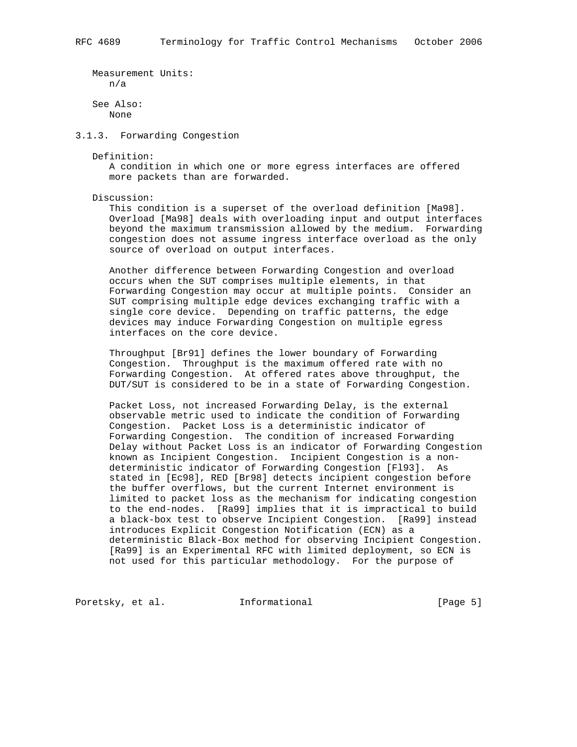Measurement Units: n/a See Also:

None

3.1.3. Forwarding Congestion

Definition:

 A condition in which one or more egress interfaces are offered more packets than are forwarded.

Discussion:

 This condition is a superset of the overload definition [Ma98]. Overload [Ma98] deals with overloading input and output interfaces beyond the maximum transmission allowed by the medium. Forwarding congestion does not assume ingress interface overload as the only source of overload on output interfaces.

 Another difference between Forwarding Congestion and overload occurs when the SUT comprises multiple elements, in that Forwarding Congestion may occur at multiple points. Consider an SUT comprising multiple edge devices exchanging traffic with a single core device. Depending on traffic patterns, the edge devices may induce Forwarding Congestion on multiple egress interfaces on the core device.

 Throughput [Br91] defines the lower boundary of Forwarding Congestion. Throughput is the maximum offered rate with no Forwarding Congestion. At offered rates above throughput, the DUT/SUT is considered to be in a state of Forwarding Congestion.

 Packet Loss, not increased Forwarding Delay, is the external observable metric used to indicate the condition of Forwarding Congestion. Packet Loss is a deterministic indicator of Forwarding Congestion. The condition of increased Forwarding Delay without Packet Loss is an indicator of Forwarding Congestion known as Incipient Congestion. Incipient Congestion is a non deterministic indicator of Forwarding Congestion [Fl93]. As stated in [Ec98], RED [Br98] detects incipient congestion before the buffer overflows, but the current Internet environment is limited to packet loss as the mechanism for indicating congestion to the end-nodes. [Ra99] implies that it is impractical to build a black-box test to observe Incipient Congestion. [Ra99] instead introduces Explicit Congestion Notification (ECN) as a deterministic Black-Box method for observing Incipient Congestion. [Ra99] is an Experimental RFC with limited deployment, so ECN is not used for this particular methodology. For the purpose of

Poretsky, et al. **Informational** [Page 5]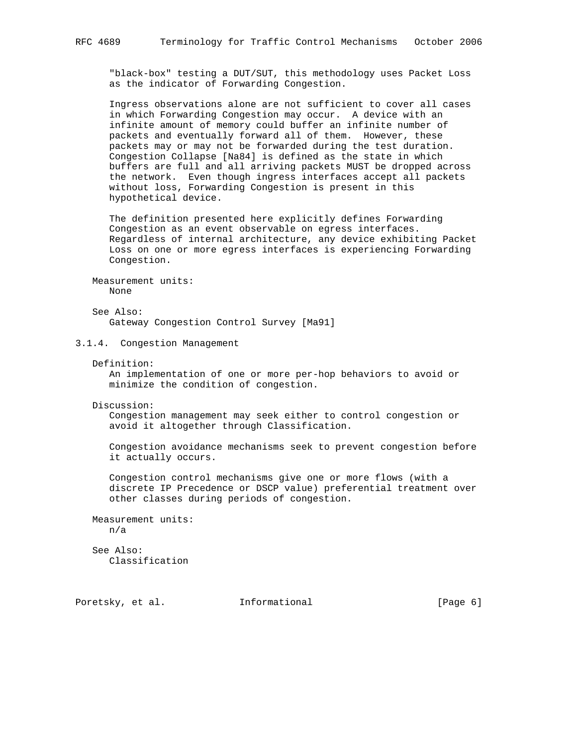"black-box" testing a DUT/SUT, this methodology uses Packet Loss as the indicator of Forwarding Congestion.

 Ingress observations alone are not sufficient to cover all cases in which Forwarding Congestion may occur. A device with an infinite amount of memory could buffer an infinite number of packets and eventually forward all of them. However, these packets may or may not be forwarded during the test duration. Congestion Collapse [Na84] is defined as the state in which buffers are full and all arriving packets MUST be dropped across the network. Even though ingress interfaces accept all packets without loss, Forwarding Congestion is present in this hypothetical device.

 The definition presented here explicitly defines Forwarding Congestion as an event observable on egress interfaces. Regardless of internal architecture, any device exhibiting Packet Loss on one or more egress interfaces is experiencing Forwarding Congestion.

 Measurement units: None

 See Also: Gateway Congestion Control Survey [Ma91]

## 3.1.4. Congestion Management

Definition:

 An implementation of one or more per-hop behaviors to avoid or minimize the condition of congestion.

Discussion:

 Congestion management may seek either to control congestion or avoid it altogether through Classification.

 Congestion avoidance mechanisms seek to prevent congestion before it actually occurs.

 Congestion control mechanisms give one or more flows (with a discrete IP Precedence or DSCP value) preferential treatment over other classes during periods of congestion.

 Measurement units: n/a

 See Also: Classification

Poretsky, et al. **Informational** [Page 6]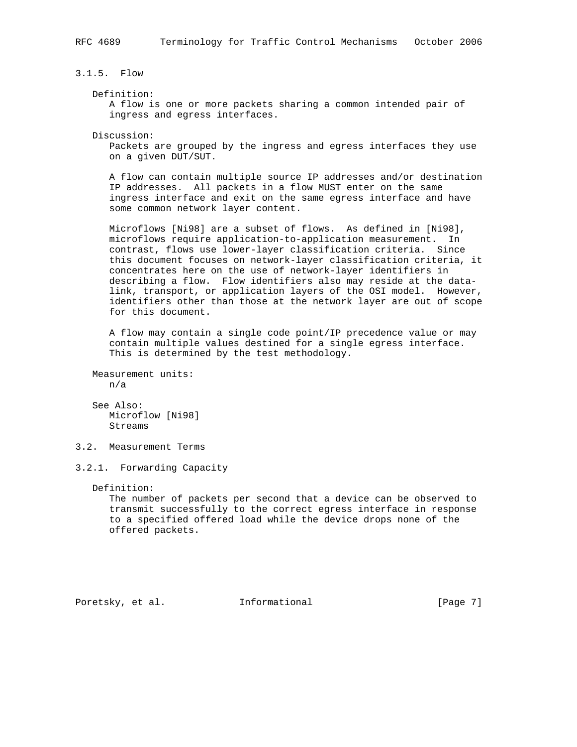3.1.5. Flow

## Definition:

 A flow is one or more packets sharing a common intended pair of ingress and egress interfaces.

Discussion:

 Packets are grouped by the ingress and egress interfaces they use on a given DUT/SUT.

 A flow can contain multiple source IP addresses and/or destination IP addresses. All packets in a flow MUST enter on the same ingress interface and exit on the same egress interface and have some common network layer content.

 Microflows [Ni98] are a subset of flows. As defined in [Ni98], microflows require application-to-application measurement. In contrast, flows use lower-layer classification criteria. Since this document focuses on network-layer classification criteria, it concentrates here on the use of network-layer identifiers in describing a flow. Flow identifiers also may reside at the data link, transport, or application layers of the OSI model. However, identifiers other than those at the network layer are out of scope for this document.

 A flow may contain a single code point/IP precedence value or may contain multiple values destined for a single egress interface. This is determined by the test methodology.

```
 Measurement units:
   n/a
```
 See Also: Microflow [Ni98] Streams

3.2. Measurement Terms

3.2.1. Forwarding Capacity

Definition:

 The number of packets per second that a device can be observed to transmit successfully to the correct egress interface in response to a specified offered load while the device drops none of the offered packets.

Poretsky, et al. **Informational** [Page 7]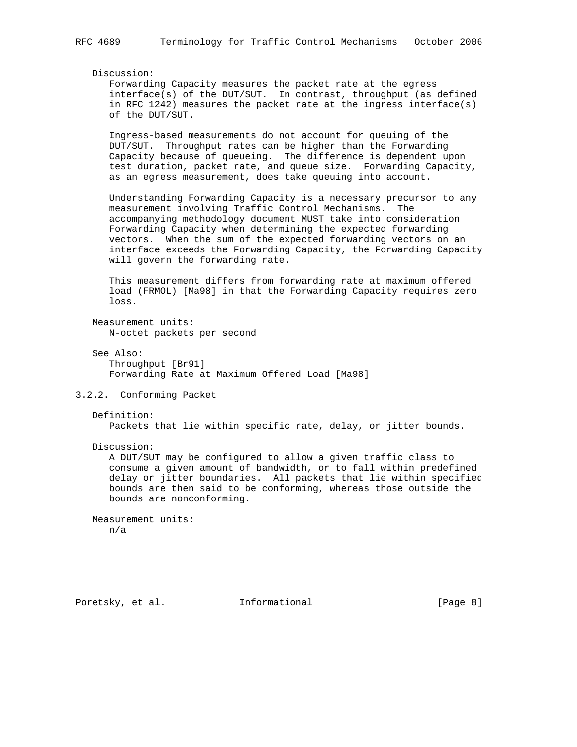# Discussion:

 Forwarding Capacity measures the packet rate at the egress interface(s) of the DUT/SUT. In contrast, throughput (as defined in RFC 1242) measures the packet rate at the ingress interface(s) of the DUT/SUT.

 Ingress-based measurements do not account for queuing of the DUT/SUT. Throughput rates can be higher than the Forwarding Capacity because of queueing. The difference is dependent upon test duration, packet rate, and queue size. Forwarding Capacity, as an egress measurement, does take queuing into account.

 Understanding Forwarding Capacity is a necessary precursor to any measurement involving Traffic Control Mechanisms. The accompanying methodology document MUST take into consideration Forwarding Capacity when determining the expected forwarding vectors. When the sum of the expected forwarding vectors on an interface exceeds the Forwarding Capacity, the Forwarding Capacity will govern the forwarding rate.

 This measurement differs from forwarding rate at maximum offered load (FRMOL) [Ma98] in that the Forwarding Capacity requires zero loss.

 Measurement units: N-octet packets per second

 See Also: Throughput [Br91] Forwarding Rate at Maximum Offered Load [Ma98]

# 3.2.2. Conforming Packet

```
 Definition:
```
Packets that lie within specific rate, delay, or jitter bounds.

Discussion:

 A DUT/SUT may be configured to allow a given traffic class to consume a given amount of bandwidth, or to fall within predefined delay or jitter boundaries. All packets that lie within specified bounds are then said to be conforming, whereas those outside the bounds are nonconforming.

 Measurement units: n/a

Poretsky, et al. 1nformational [Page 8]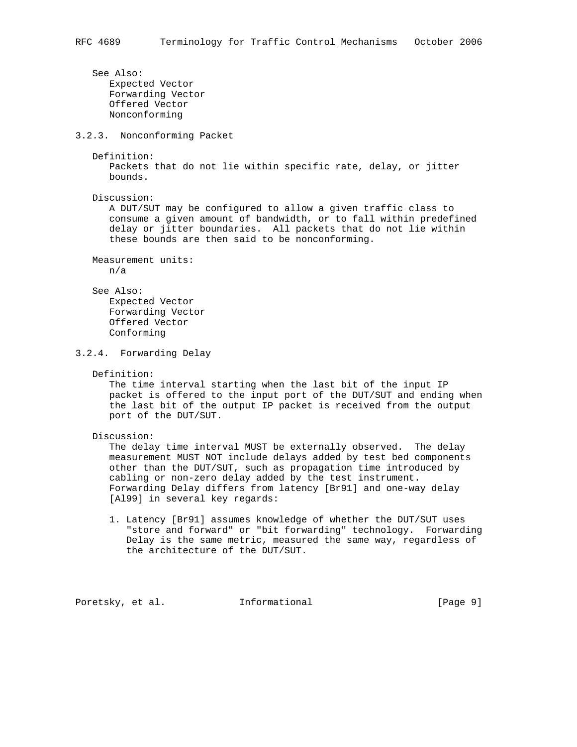See Also: Expected Vector Forwarding Vector Offered Vector Nonconforming 3.2.3. Nonconforming Packet Definition: Packets that do not lie within specific rate, delay, or jitter bounds. Discussion: A DUT/SUT may be configured to allow a given traffic class to consume a given amount of bandwidth, or to fall within predefined delay or jitter boundaries. All packets that do not lie within these bounds are then said to be nonconforming. Measurement units: n/a See Also: Expected Vector Forwarding Vector Offered Vector Conforming 3.2.4. Forwarding Delay Definition: The time interval starting when the last bit of the input IP

 packet is offered to the input port of the DUT/SUT and ending when the last bit of the output IP packet is received from the output port of the DUT/SUT.

Discussion:

 The delay time interval MUST be externally observed. The delay measurement MUST NOT include delays added by test bed components other than the DUT/SUT, such as propagation time introduced by cabling or non-zero delay added by the test instrument. Forwarding Delay differs from latency [Br91] and one-way delay [Al99] in several key regards:

 1. Latency [Br91] assumes knowledge of whether the DUT/SUT uses "store and forward" or "bit forwarding" technology. Forwarding Delay is the same metric, measured the same way, regardless of the architecture of the DUT/SUT.

Poretsky, et al. 1nformational [Page 9]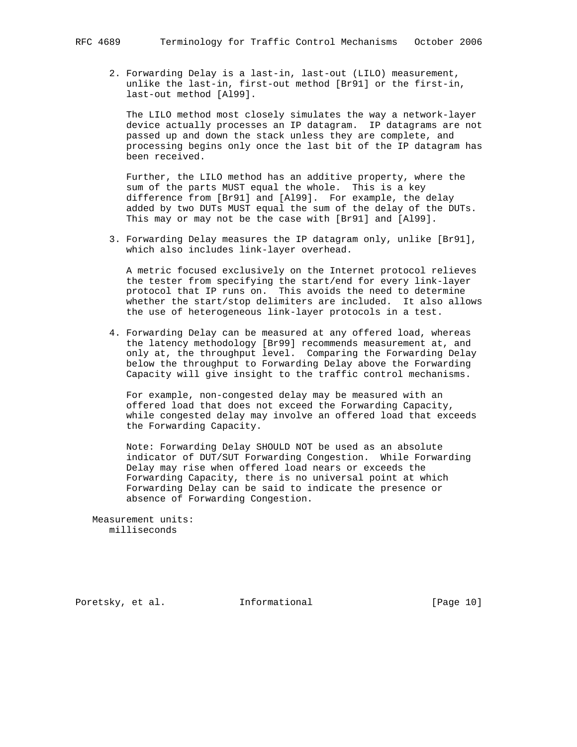2. Forwarding Delay is a last-in, last-out (LILO) measurement, unlike the last-in, first-out method [Br91] or the first-in, last-out method [Al99].

 The LILO method most closely simulates the way a network-layer device actually processes an IP datagram. IP datagrams are not passed up and down the stack unless they are complete, and processing begins only once the last bit of the IP datagram has been received.

 Further, the LILO method has an additive property, where the sum of the parts MUST equal the whole. This is a key difference from [Br91] and [Al99]. For example, the delay added by two DUTs MUST equal the sum of the delay of the DUTs. This may or may not be the case with [Br91] and [Al99].

 3. Forwarding Delay measures the IP datagram only, unlike [Br91], which also includes link-layer overhead.

 A metric focused exclusively on the Internet protocol relieves the tester from specifying the start/end for every link-layer protocol that IP runs on. This avoids the need to determine whether the start/stop delimiters are included. It also allows the use of heterogeneous link-layer protocols in a test.

 4. Forwarding Delay can be measured at any offered load, whereas the latency methodology [Br99] recommends measurement at, and only at, the throughput level. Comparing the Forwarding Delay below the throughput to Forwarding Delay above the Forwarding Capacity will give insight to the traffic control mechanisms.

 For example, non-congested delay may be measured with an offered load that does not exceed the Forwarding Capacity, while congested delay may involve an offered load that exceeds the Forwarding Capacity.

 Note: Forwarding Delay SHOULD NOT be used as an absolute indicator of DUT/SUT Forwarding Congestion. While Forwarding Delay may rise when offered load nears or exceeds the Forwarding Capacity, there is no universal point at which Forwarding Delay can be said to indicate the presence or absence of Forwarding Congestion.

 Measurement units: milliseconds

Poretsky, et al. **Informational** [Page 10]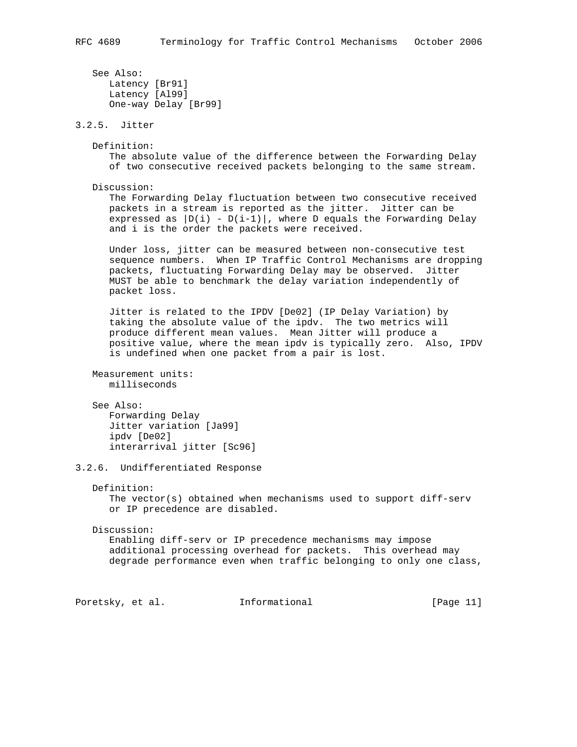```
 See Also:
      Latency [Br91]
      Latency [Al99]
      One-way Delay [Br99]
3.2.5. Jitter
   Definition:
      The absolute value of the difference between the Forwarding Delay
       of two consecutive received packets belonging to the same stream.
   Discussion:
      The Forwarding Delay fluctuation between two consecutive received
      packets in a stream is reported as the jitter. Jitter can be
     expressed as |D(i) - D(i-1)|, where D equals the Forwarding Delay
       and i is the order the packets were received.
      Under loss, jitter can be measured between non-consecutive test
      sequence numbers. When IP Traffic Control Mechanisms are dropping
      packets, fluctuating Forwarding Delay may be observed. Jitter
      MUST be able to benchmark the delay variation independently of
      packet loss.
      Jitter is related to the IPDV [De02] (IP Delay Variation) by
      taking the absolute value of the ipdv. The two metrics will
      produce different mean values. Mean Jitter will produce a
      positive value, where the mean ipdv is typically zero. Also, IPDV
      is undefined when one packet from a pair is lost.
   Measurement units:
      milliseconds
    See Also:
      Forwarding Delay
      Jitter variation [Ja99]
      ipdv [De02]
      interarrival jitter [Sc96]
3.2.6. Undifferentiated Response
   Definition:
     The vector(s) obtained when mechanisms used to support diff-serv
       or IP precedence are disabled.
    Discussion:
       Enabling diff-serv or IP precedence mechanisms may impose
      additional processing overhead for packets. This overhead may
      degrade performance even when traffic belonging to only one class,
Poretsky, et al. Informational [Page 11]
```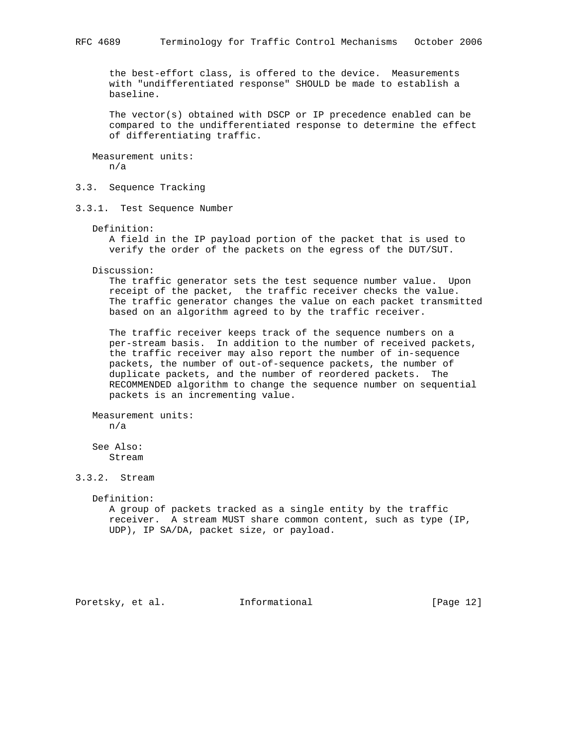the best-effort class, is offered to the device. Measurements with "undifferentiated response" SHOULD be made to establish a baseline.

 The vector(s) obtained with DSCP or IP precedence enabled can be compared to the undifferentiated response to determine the effect of differentiating traffic.

 Measurement units: n/a

3.3. Sequence Tracking

3.3.1. Test Sequence Number

Definition:

 A field in the IP payload portion of the packet that is used to verify the order of the packets on the egress of the DUT/SUT.

Discussion:

 The traffic generator sets the test sequence number value. Upon receipt of the packet, the traffic receiver checks the value. The traffic generator changes the value on each packet transmitted based on an algorithm agreed to by the traffic receiver.

 The traffic receiver keeps track of the sequence numbers on a per-stream basis. In addition to the number of received packets, the traffic receiver may also report the number of in-sequence packets, the number of out-of-sequence packets, the number of duplicate packets, and the number of reordered packets. The RECOMMENDED algorithm to change the sequence number on sequential packets is an incrementing value.

 Measurement units: n/a

 See Also: Stream

3.3.2. Stream

Definition:

 A group of packets tracked as a single entity by the traffic receiver. A stream MUST share common content, such as type (IP, UDP), IP SA/DA, packet size, or payload.

Poretsky, et al. **Informational** [Page 12]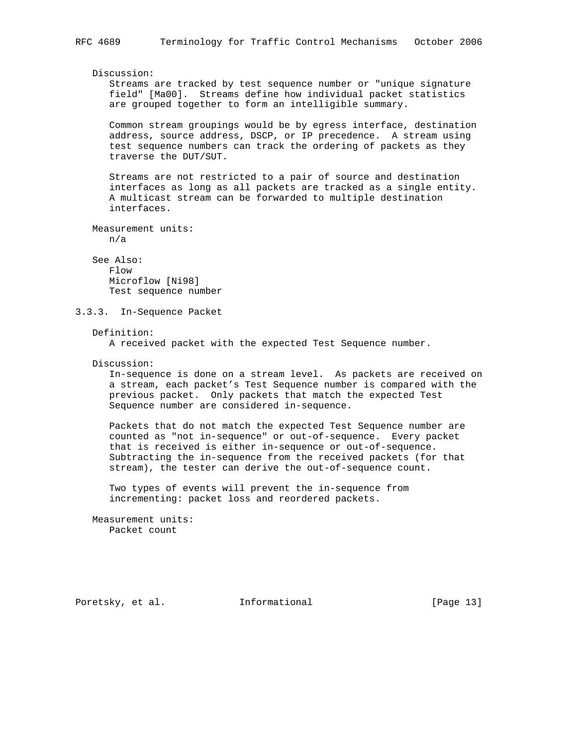Streams are tracked by test sequence number or "unique signature field" [Ma00]. Streams define how individual packet statistics are grouped together to form an intelligible summary.

 Common stream groupings would be by egress interface, destination address, source address, DSCP, or IP precedence. A stream using test sequence numbers can track the ordering of packets as they traverse the DUT/SUT.

 Streams are not restricted to a pair of source and destination interfaces as long as all packets are tracked as a single entity. A multicast stream can be forwarded to multiple destination interfaces.

```
 Measurement units:
    n/a
```
Discussion:

 See Also: Flow Microflow [Ni98] Test sequence number

3.3.3. In-Sequence Packet

## Definition:

A received packet with the expected Test Sequence number.

## Discussion:

 In-sequence is done on a stream level. As packets are received on a stream, each packet's Test Sequence number is compared with the previous packet. Only packets that match the expected Test Sequence number are considered in-sequence.

 Packets that do not match the expected Test Sequence number are counted as "not in-sequence" or out-of-sequence. Every packet that is received is either in-sequence or out-of-sequence. Subtracting the in-sequence from the received packets (for that stream), the tester can derive the out-of-sequence count.

 Two types of events will prevent the in-sequence from incrementing: packet loss and reordered packets.

 Measurement units: Packet count

Poretsky, et al. **Informational** [Page 13]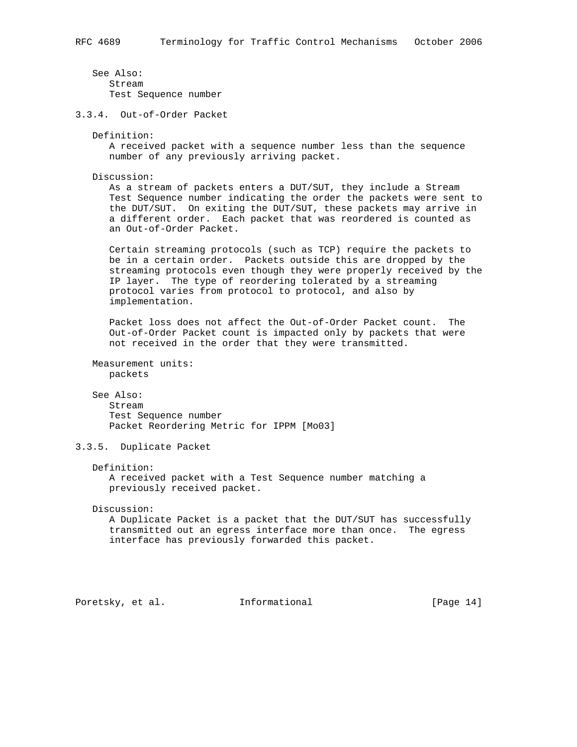See Also: Stream Test Sequence number

3.3.4. Out-of-Order Packet

Definition:

 A received packet with a sequence number less than the sequence number of any previously arriving packet.

Discussion:

 As a stream of packets enters a DUT/SUT, they include a Stream Test Sequence number indicating the order the packets were sent to the DUT/SUT. On exiting the DUT/SUT, these packets may arrive in a different order. Each packet that was reordered is counted as an Out-of-Order Packet.

 Certain streaming protocols (such as TCP) require the packets to be in a certain order. Packets outside this are dropped by the streaming protocols even though they were properly received by the IP layer. The type of reordering tolerated by a streaming protocol varies from protocol to protocol, and also by implementation.

 Packet loss does not affect the Out-of-Order Packet count. The Out-of-Order Packet count is impacted only by packets that were not received in the order that they were transmitted.

 Measurement units: packets

## See Also:

 Stream Test Sequence number Packet Reordering Metric for IPPM [Mo03]

3.3.5. Duplicate Packet

## Definition:

 A received packet with a Test Sequence number matching a previously received packet.

Discussion:

 A Duplicate Packet is a packet that the DUT/SUT has successfully transmitted out an egress interface more than once. The egress interface has previously forwarded this packet.

Poretsky, et al. **Informational** [Page 14]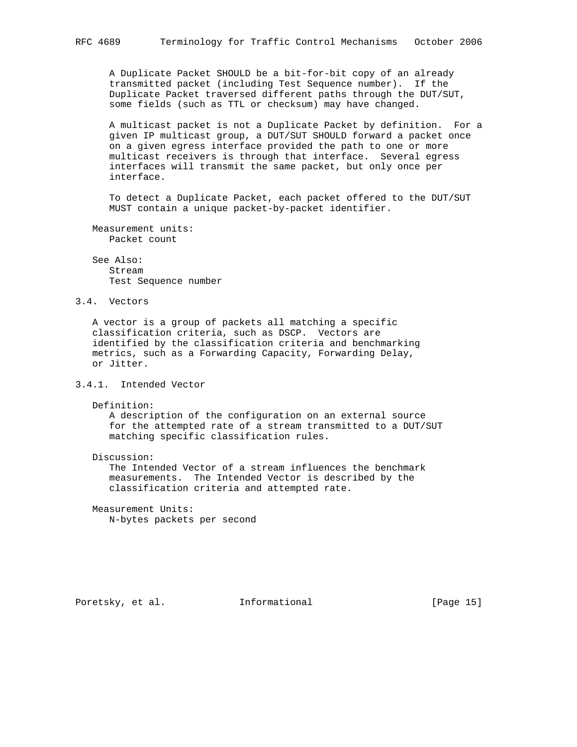A Duplicate Packet SHOULD be a bit-for-bit copy of an already transmitted packet (including Test Sequence number). If the Duplicate Packet traversed different paths through the DUT/SUT, some fields (such as TTL or checksum) may have changed.

 A multicast packet is not a Duplicate Packet by definition. For a given IP multicast group, a DUT/SUT SHOULD forward a packet once on a given egress interface provided the path to one or more multicast receivers is through that interface. Several egress interfaces will transmit the same packet, but only once per interface.

 To detect a Duplicate Packet, each packet offered to the DUT/SUT MUST contain a unique packet-by-packet identifier.

 Measurement units: Packet count

 See Also: Stream Test Sequence number

# 3.4. Vectors

 A vector is a group of packets all matching a specific classification criteria, such as DSCP. Vectors are identified by the classification criteria and benchmarking metrics, such as a Forwarding Capacity, Forwarding Delay, or Jitter.

# 3.4.1. Intended Vector

Definition:

 A description of the configuration on an external source for the attempted rate of a stream transmitted to a DUT/SUT matching specific classification rules.

Discussion:

 The Intended Vector of a stream influences the benchmark measurements. The Intended Vector is described by the classification criteria and attempted rate.

 Measurement Units: N-bytes packets per second

Poretsky, et al. **Informational** [Page 15]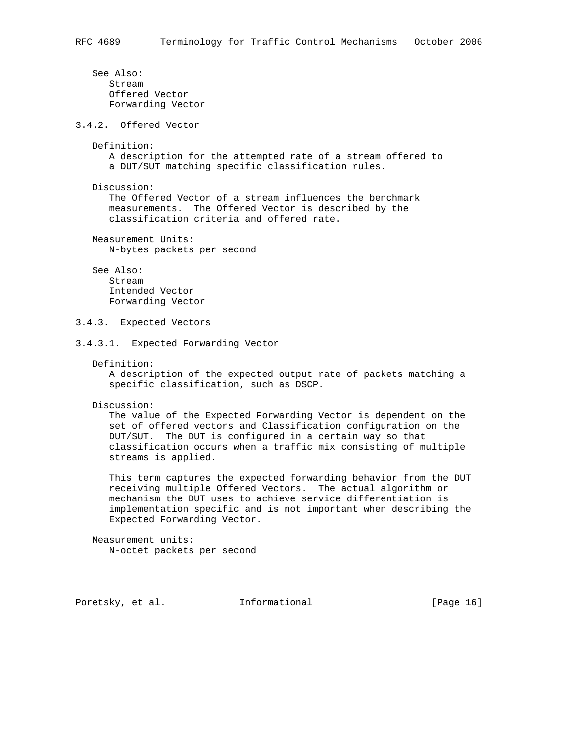See Also: Stream Offered Vector Forwarding Vector

3.4.2. Offered Vector

Definition:

 A description for the attempted rate of a stream offered to a DUT/SUT matching specific classification rules.

Discussion:

 The Offered Vector of a stream influences the benchmark measurements. The Offered Vector is described by the classification criteria and offered rate.

 Measurement Units: N-bytes packets per second

See Also:

 Stream Intended Vector Forwarding Vector

3.4.3. Expected Vectors

3.4.3.1. Expected Forwarding Vector

Definition:

 A description of the expected output rate of packets matching a specific classification, such as DSCP.

Discussion:

 The value of the Expected Forwarding Vector is dependent on the set of offered vectors and Classification configuration on the DUT/SUT. The DUT is configured in a certain way so that classification occurs when a traffic mix consisting of multiple streams is applied.

 This term captures the expected forwarding behavior from the DUT receiving multiple Offered Vectors. The actual algorithm or mechanism the DUT uses to achieve service differentiation is implementation specific and is not important when describing the Expected Forwarding Vector.

 Measurement units: N-octet packets per second

Poretsky, et al. **Informational** [Page 16]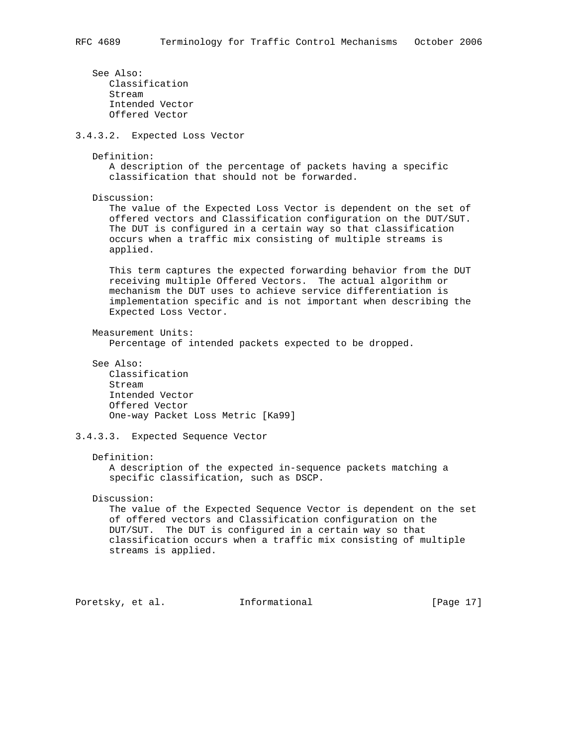See Also: Classification Stream Intended Vector Offered Vector 3.4.3.2. Expected Loss Vector Definition: A description of the percentage of packets having a specific classification that should not be forwarded. Discussion: The value of the Expected Loss Vector is dependent on the set of offered vectors and Classification configuration on the DUT/SUT. The DUT is configured in a certain way so that classification occurs when a traffic mix consisting of multiple streams is applied. This term captures the expected forwarding behavior from the DUT receiving multiple Offered Vectors. The actual algorithm or mechanism the DUT uses to achieve service differentiation is implementation specific and is not important when describing the Expected Loss Vector. Measurement Units: Percentage of intended packets expected to be dropped. See Also: Classification Stream Intended Vector Offered Vector One-way Packet Loss Metric [Ka99] 3.4.3.3. Expected Sequence Vector Definition: A description of the expected in-sequence packets matching a specific classification, such as DSCP. Discussion: The value of the Expected Sequence Vector is dependent on the set of offered vectors and Classification configuration on the DUT/SUT. The DUT is configured in a certain way so that classification occurs when a traffic mix consisting of multiple streams is applied.

Poretsky, et al. **Informational** [Page 17]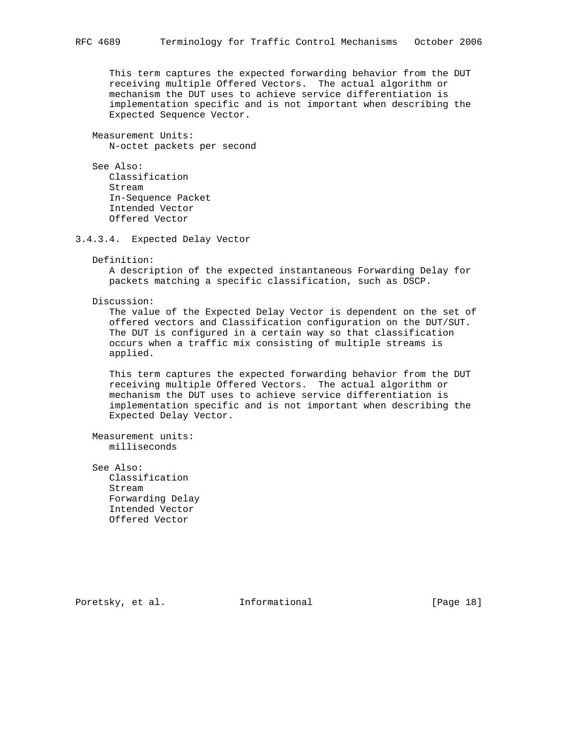This term captures the expected forwarding behavior from the DUT receiving multiple Offered Vectors. The actual algorithm or mechanism the DUT uses to achieve service differentiation is implementation specific and is not important when describing the Expected Sequence Vector.

 Measurement Units: N-octet packets per second

 See Also: Classification Stream In-Sequence Packet Intended Vector Offered Vector

3.4.3.4. Expected Delay Vector

Definition:

 A description of the expected instantaneous Forwarding Delay for packets matching a specific classification, such as DSCP.

Discussion:

 The value of the Expected Delay Vector is dependent on the set of offered vectors and Classification configuration on the DUT/SUT. The DUT is configured in a certain way so that classification occurs when a traffic mix consisting of multiple streams is applied.

 This term captures the expected forwarding behavior from the DUT receiving multiple Offered Vectors. The actual algorithm or mechanism the DUT uses to achieve service differentiation is implementation specific and is not important when describing the Expected Delay Vector.

 Measurement units: milliseconds

 See Also: Classification Stream Forwarding Delay Intended Vector Offered Vector

Poretsky, et al. **Informational** [Page 18]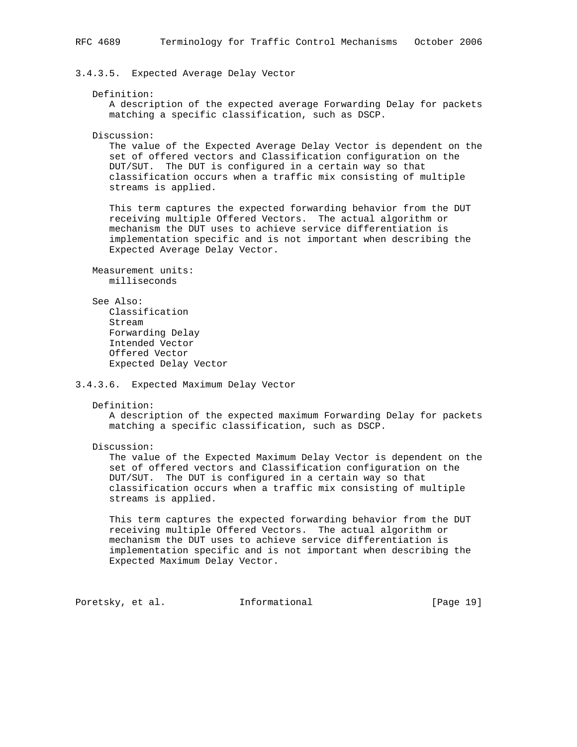3.4.3.5. Expected Average Delay Vector

## Definition:

 A description of the expected average Forwarding Delay for packets matching a specific classification, such as DSCP.

Discussion:

 The value of the Expected Average Delay Vector is dependent on the set of offered vectors and Classification configuration on the DUT/SUT. The DUT is configured in a certain way so that classification occurs when a traffic mix consisting of multiple streams is applied.

 This term captures the expected forwarding behavior from the DUT receiving multiple Offered Vectors. The actual algorithm or mechanism the DUT uses to achieve service differentiation is implementation specific and is not important when describing the Expected Average Delay Vector.

```
 Measurement units:
   milliseconds
```
See Also:

```
 Classification
 Stream
 Forwarding Delay
 Intended Vector
 Offered Vector
 Expected Delay Vector
```
## 3.4.3.6. Expected Maximum Delay Vector

Definition:

 A description of the expected maximum Forwarding Delay for packets matching a specific classification, such as DSCP.

Discussion:

 The value of the Expected Maximum Delay Vector is dependent on the set of offered vectors and Classification configuration on the DUT/SUT. The DUT is configured in a certain way so that classification occurs when a traffic mix consisting of multiple streams is applied.

 This term captures the expected forwarding behavior from the DUT receiving multiple Offered Vectors. The actual algorithm or mechanism the DUT uses to achieve service differentiation is implementation specific and is not important when describing the Expected Maximum Delay Vector.

Poretsky, et al. **Informational** [Page 19]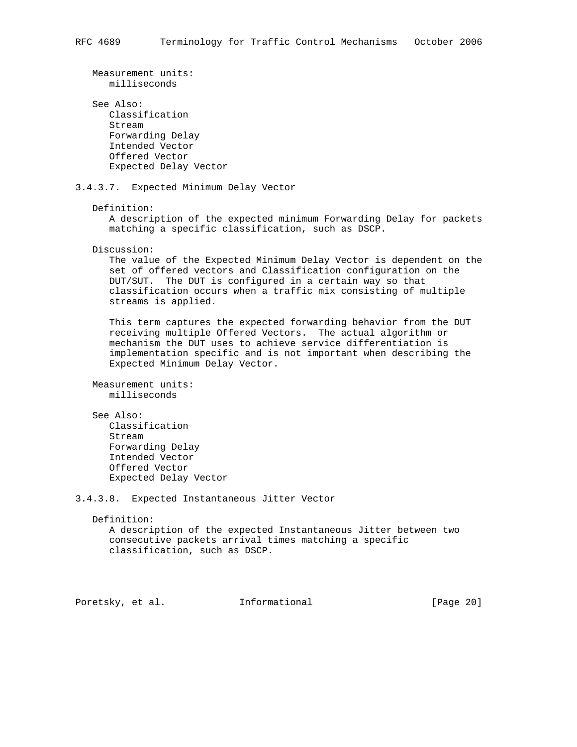```
 Measurement units:
      milliseconds
    See Also:
       Classification
       Stream
      Forwarding Delay
      Intended Vector
       Offered Vector
       Expected Delay Vector
3.4.3.7. Expected Minimum Delay Vector
   Definition:
       A description of the expected minimum Forwarding Delay for packets
       matching a specific classification, such as DSCP.
   Discussion:
      The value of the Expected Minimum Delay Vector is dependent on the
       set of offered vectors and Classification configuration on the
      DUT/SUT. The DUT is configured in a certain way so that
       classification occurs when a traffic mix consisting of multiple
      streams is applied.
      This term captures the expected forwarding behavior from the DUT
       receiving multiple Offered Vectors. The actual algorithm or
       mechanism the DUT uses to achieve service differentiation is
       implementation specific and is not important when describing the
       Expected Minimum Delay Vector.
   Measurement units:
      milliseconds
    See Also:
      Classification
      Stream
      Forwarding Delay
       Intended Vector
       Offered Vector
       Expected Delay Vector
3.4.3.8. Expected Instantaneous Jitter Vector
   Definition:
      A description of the expected Instantaneous Jitter between two
       consecutive packets arrival times matching a specific
      classification, such as DSCP.
```
Poretsky, et al. **Informational** [Page 20]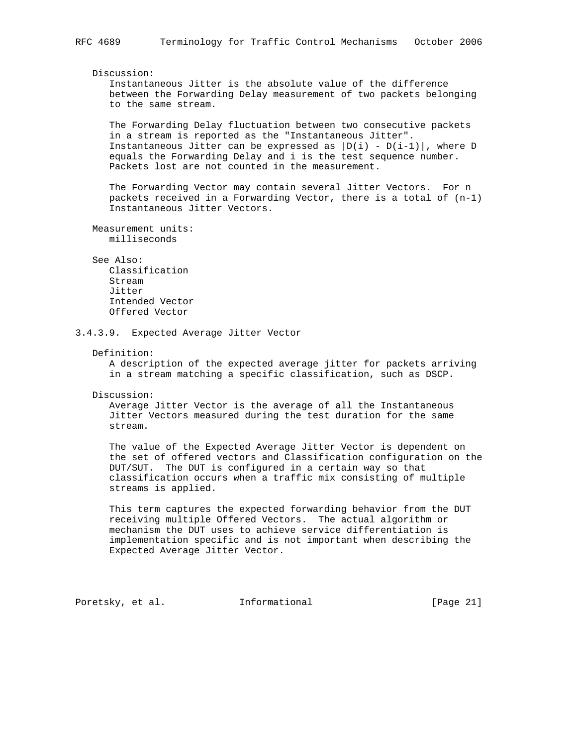# Discussion:

 Instantaneous Jitter is the absolute value of the difference between the Forwarding Delay measurement of two packets belonging to the same stream.

 The Forwarding Delay fluctuation between two consecutive packets in a stream is reported as the "Instantaneous Jitter". Instantaneous Jitter can be expressed as  $|D(i) - D(i-1)|$ , where D equals the Forwarding Delay and i is the test sequence number. Packets lost are not counted in the measurement.

 The Forwarding Vector may contain several Jitter Vectors. For n packets received in a Forwarding Vector, there is a total of (n-1) Instantaneous Jitter Vectors.

 Measurement units: milliseconds

## See Also:

 Classification Stream Jitter Intended Vector Offered Vector

3.4.3.9. Expected Average Jitter Vector

#### Definition:

 A description of the expected average jitter for packets arriving in a stream matching a specific classification, such as DSCP.

Discussion:

 Average Jitter Vector is the average of all the Instantaneous Jitter Vectors measured during the test duration for the same stream.

 The value of the Expected Average Jitter Vector is dependent on the set of offered vectors and Classification configuration on the DUT/SUT. The DUT is configured in a certain way so that classification occurs when a traffic mix consisting of multiple streams is applied.

 This term captures the expected forwarding behavior from the DUT receiving multiple Offered Vectors. The actual algorithm or mechanism the DUT uses to achieve service differentiation is implementation specific and is not important when describing the Expected Average Jitter Vector.

Poretsky, et al. **Informational** [Page 21]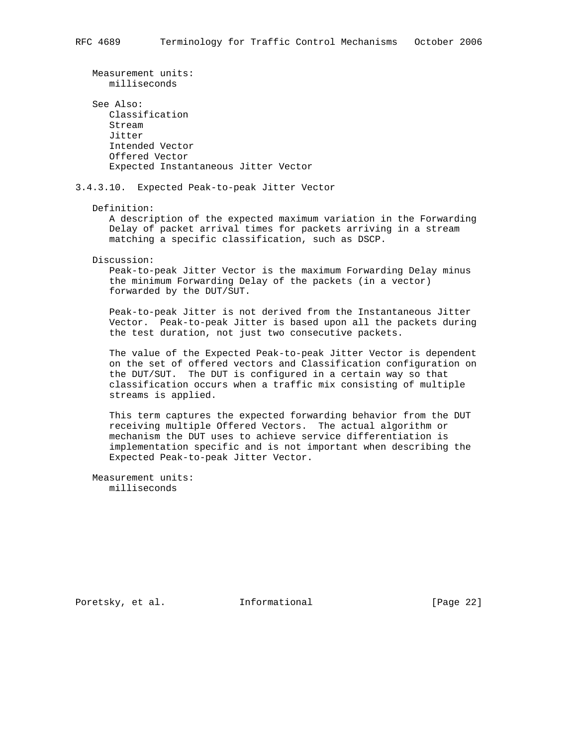Measurement units: milliseconds See Also: Classification Stream Jitter Intended Vector Offered Vector Expected Instantaneous Jitter Vector 3.4.3.10. Expected Peak-to-peak Jitter Vector Definition: A description of the expected maximum variation in the Forwarding Delay of packet arrival times for packets arriving in a stream matching a specific classification, such as DSCP. Discussion: Peak-to-peak Jitter Vector is the maximum Forwarding Delay minus the minimum Forwarding Delay of the packets (in a vector) forwarded by the DUT/SUT. Peak-to-peak Jitter is not derived from the Instantaneous Jitter Vector. Peak-to-peak Jitter is based upon all the packets during the test duration, not just two consecutive packets. The value of the Expected Peak-to-peak Jitter Vector is dependent on the set of offered vectors and Classification configuration on the DUT/SUT. The DUT is configured in a certain way so that classification occurs when a traffic mix consisting of multiple streams is applied. This term captures the expected forwarding behavior from the DUT receiving multiple Offered Vectors. The actual algorithm or mechanism the DUT uses to achieve service differentiation is implementation specific and is not important when describing the

 Measurement units: milliseconds

Expected Peak-to-peak Jitter Vector.

Poretsky, et al. **Informational** [Page 22]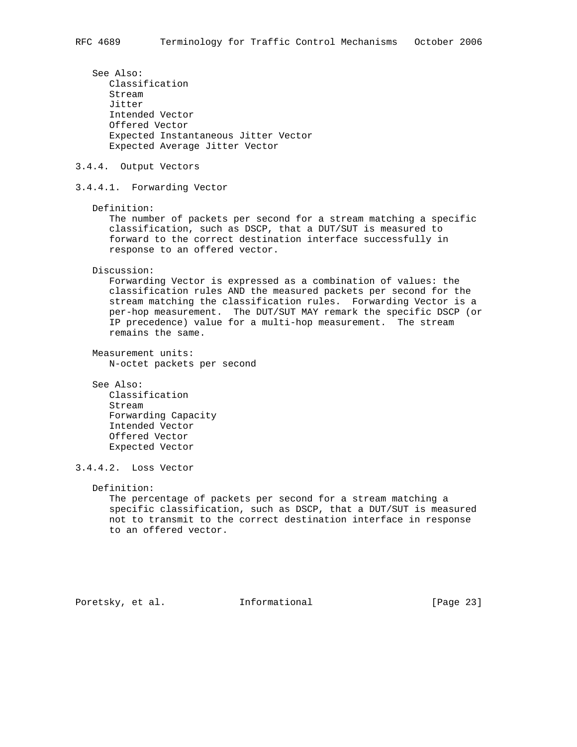See Also: Classification Stream Jitter Intended Vector Offered Vector Expected Instantaneous Jitter Vector Expected Average Jitter Vector 3.4.4. Output Vectors 3.4.4.1. Forwarding Vector Definition: The number of packets per second for a stream matching a specific classification, such as DSCP, that a DUT/SUT is measured to forward to the correct destination interface successfully in response to an offered vector. Discussion: Forwarding Vector is expressed as a combination of values: the classification rules AND the measured packets per second for the stream matching the classification rules. Forwarding Vector is a per-hop measurement. The DUT/SUT MAY remark the specific DSCP (or IP precedence) value for a multi-hop measurement. The stream remains the same. Measurement units: N-octet packets per second See Also: Classification Stream Forwarding Capacity Intended Vector Offered Vector Expected Vector 3.4.4.2. Loss Vector Definition: The percentage of packets per second for a stream matching a specific classification, such as DSCP, that a DUT/SUT is measured not to transmit to the correct destination interface in response to an offered vector.

Poretsky, et al. **Informational** [Page 23]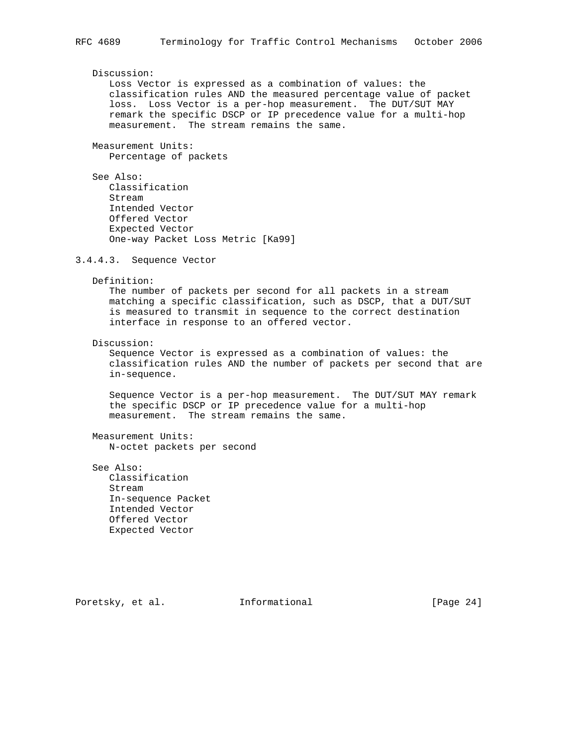## Discussion:

 Loss Vector is expressed as a combination of values: the classification rules AND the measured percentage value of packet loss. Loss Vector is a per-hop measurement. The DUT/SUT MAY remark the specific DSCP or IP precedence value for a multi-hop measurement. The stream remains the same.

 Measurement Units: Percentage of packets

```
 See Also:
    Classification
    Stream
    Intended Vector
    Offered Vector
    Expected Vector
    One-way Packet Loss Metric [Ka99]
```
3.4.4.3. Sequence Vector

Definition:

 The number of packets per second for all packets in a stream matching a specific classification, such as DSCP, that a DUT/SUT is measured to transmit in sequence to the correct destination interface in response to an offered vector.

#### Discussion:

 Sequence Vector is expressed as a combination of values: the classification rules AND the number of packets per second that are in-sequence.

 Sequence Vector is a per-hop measurement. The DUT/SUT MAY remark the specific DSCP or IP precedence value for a multi-hop measurement. The stream remains the same.

 Measurement Units: N-octet packets per second

 See Also: Classification Stream In-sequence Packet Intended Vector Offered Vector Expected Vector

Poretsky, et al. **Informational** [Page 24]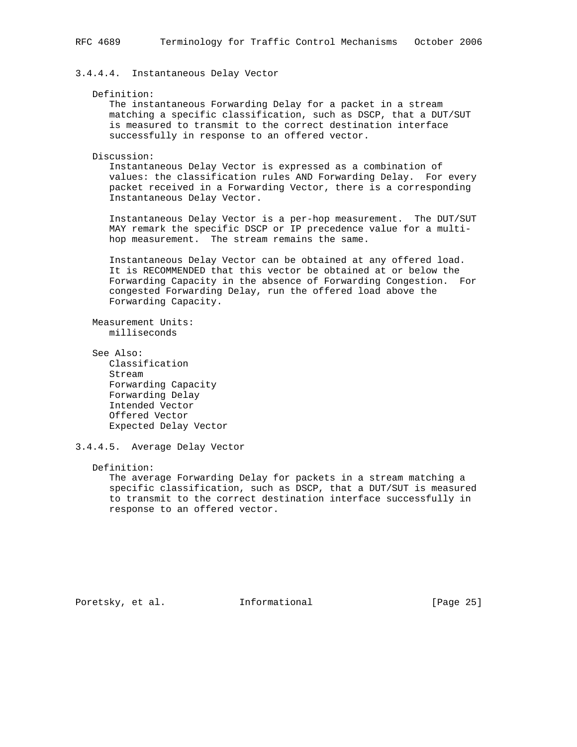# 3.4.4.4. Instantaneous Delay Vector

## Definition:

 The instantaneous Forwarding Delay for a packet in a stream matching a specific classification, such as DSCP, that a DUT/SUT is measured to transmit to the correct destination interface successfully in response to an offered vector.

Discussion:

 Instantaneous Delay Vector is expressed as a combination of values: the classification rules AND Forwarding Delay. For every packet received in a Forwarding Vector, there is a corresponding Instantaneous Delay Vector.

 Instantaneous Delay Vector is a per-hop measurement. The DUT/SUT MAY remark the specific DSCP or IP precedence value for a multi hop measurement. The stream remains the same.

 Instantaneous Delay Vector can be obtained at any offered load. It is RECOMMENDED that this vector be obtained at or below the Forwarding Capacity in the absence of Forwarding Congestion. For congested Forwarding Delay, run the offered load above the Forwarding Capacity.

 Measurement Units: milliseconds

 See Also: Classification Stream Forwarding Capacity Forwarding Delay Intended Vector Offered Vector Expected Delay Vector

3.4.4.5. Average Delay Vector

Definition:

 The average Forwarding Delay for packets in a stream matching a specific classification, such as DSCP, that a DUT/SUT is measured to transmit to the correct destination interface successfully in response to an offered vector.

Poretsky, et al. **Informational** [Page 25]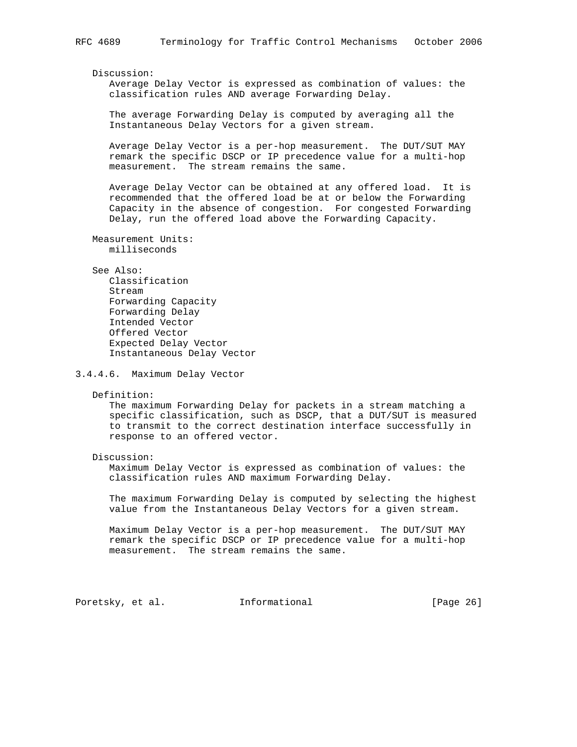Discussion:

 Average Delay Vector is expressed as combination of values: the classification rules AND average Forwarding Delay.

 The average Forwarding Delay is computed by averaging all the Instantaneous Delay Vectors for a given stream.

 Average Delay Vector is a per-hop measurement. The DUT/SUT MAY remark the specific DSCP or IP precedence value for a multi-hop measurement. The stream remains the same.

 Average Delay Vector can be obtained at any offered load. It is recommended that the offered load be at or below the Forwarding Capacity in the absence of congestion. For congested Forwarding Delay, run the offered load above the Forwarding Capacity.

 Measurement Units: milliseconds

# See Also:

 Classification Stream Forwarding Capacity Forwarding Delay Intended Vector Offered Vector Expected Delay Vector Instantaneous Delay Vector

3.4.4.6. Maximum Delay Vector

Definition:

 The maximum Forwarding Delay for packets in a stream matching a specific classification, such as DSCP, that a DUT/SUT is measured to transmit to the correct destination interface successfully in response to an offered vector.

Discussion:

 Maximum Delay Vector is expressed as combination of values: the classification rules AND maximum Forwarding Delay.

 The maximum Forwarding Delay is computed by selecting the highest value from the Instantaneous Delay Vectors for a given stream.

 Maximum Delay Vector is a per-hop measurement. The DUT/SUT MAY remark the specific DSCP or IP precedence value for a multi-hop measurement. The stream remains the same.

Poretsky, et al. **Informational** [Page 26]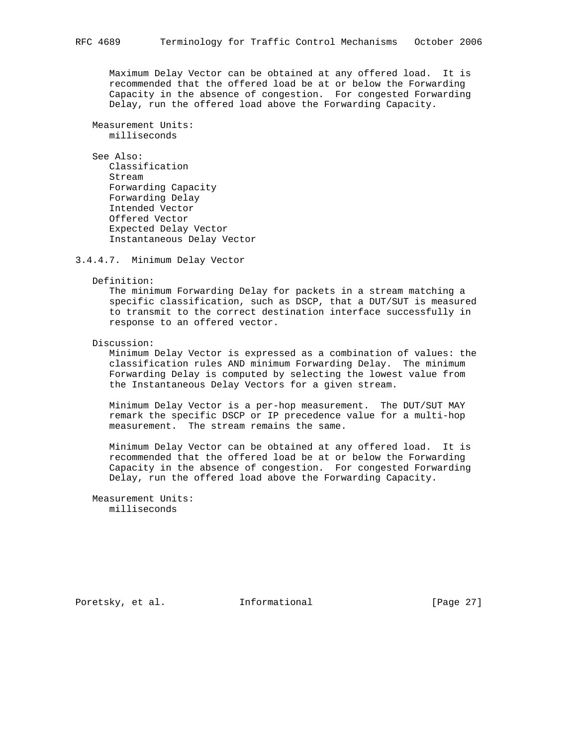Maximum Delay Vector can be obtained at any offered load. It is recommended that the offered load be at or below the Forwarding Capacity in the absence of congestion. For congested Forwarding Delay, run the offered load above the Forwarding Capacity.

 Measurement Units: milliseconds

 See Also: Classification Stream Forwarding Capacity Forwarding Delay Intended Vector Offered Vector Expected Delay Vector Instantaneous Delay Vector

3.4.4.7. Minimum Delay Vector

Definition:

 The minimum Forwarding Delay for packets in a stream matching a specific classification, such as DSCP, that a DUT/SUT is measured to transmit to the correct destination interface successfully in response to an offered vector.

Discussion:

 Minimum Delay Vector is expressed as a combination of values: the classification rules AND minimum Forwarding Delay. The minimum Forwarding Delay is computed by selecting the lowest value from the Instantaneous Delay Vectors for a given stream.

 Minimum Delay Vector is a per-hop measurement. The DUT/SUT MAY remark the specific DSCP or IP precedence value for a multi-hop measurement. The stream remains the same.

 Minimum Delay Vector can be obtained at any offered load. It is recommended that the offered load be at or below the Forwarding Capacity in the absence of congestion. For congested Forwarding Delay, run the offered load above the Forwarding Capacity.

 Measurement Units: milliseconds

Poretsky, et al. **Informational** [Page 27]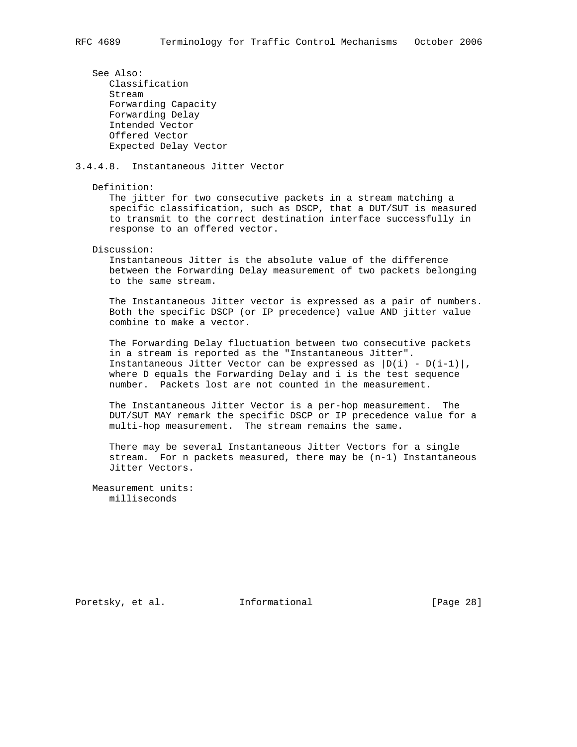See Also: Classification Stream

 Forwarding Capacity Forwarding Delay Intended Vector Offered Vector Expected Delay Vector

# 3.4.4.8. Instantaneous Jitter Vector

Definition:

 The jitter for two consecutive packets in a stream matching a specific classification, such as DSCP, that a DUT/SUT is measured to transmit to the correct destination interface successfully in response to an offered vector.

Discussion:

 Instantaneous Jitter is the absolute value of the difference between the Forwarding Delay measurement of two packets belonging to the same stream.

 The Instantaneous Jitter vector is expressed as a pair of numbers. Both the specific DSCP (or IP precedence) value AND jitter value combine to make a vector.

 The Forwarding Delay fluctuation between two consecutive packets in a stream is reported as the "Instantaneous Jitter". Instantaneous Jitter Vector can be expressed as  $|D(i) - D(i-1)|$ , where D equals the Forwarding Delay and i is the test sequence number. Packets lost are not counted in the measurement.

 The Instantaneous Jitter Vector is a per-hop measurement. The DUT/SUT MAY remark the specific DSCP or IP precedence value for a multi-hop measurement. The stream remains the same.

 There may be several Instantaneous Jitter Vectors for a single stream. For n packets measured, there may be (n-1) Instantaneous Jitter Vectors.

 Measurement units: milliseconds

Poretsky, et al. **Informational** [Page 28]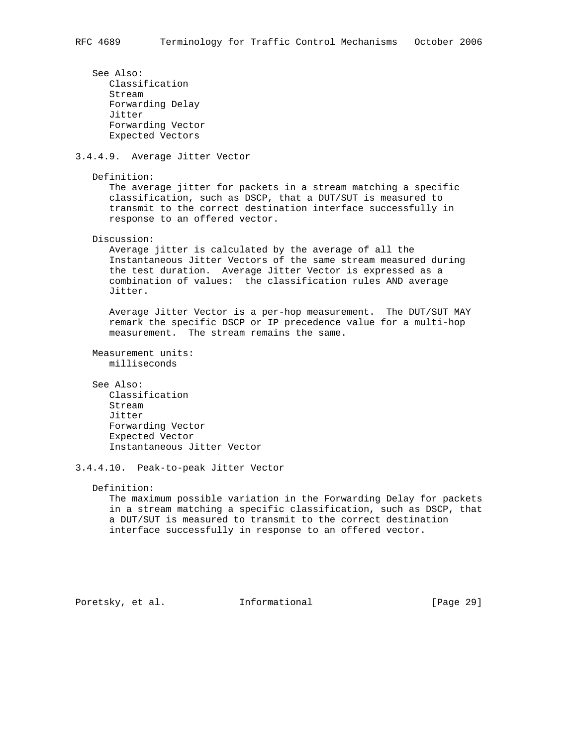See Also: Classification Stream Forwarding Delay Jitter Forwarding Vector Expected Vectors 3.4.4.9. Average Jitter Vector Definition: The average jitter for packets in a stream matching a specific classification, such as DSCP, that a DUT/SUT is measured to transmit to the correct destination interface successfully in response to an offered vector. Discussion: Average jitter is calculated by the average of all the Instantaneous Jitter Vectors of the same stream measured during the test duration. Average Jitter Vector is expressed as a combination of values: the classification rules AND average Jitter. Average Jitter Vector is a per-hop measurement. The DUT/SUT MAY remark the specific DSCP or IP precedence value for a multi-hop measurement. The stream remains the same. Measurement units: milliseconds See Also: Classification Stream Jitter Forwarding Vector Expected Vector

3.4.4.10. Peak-to-peak Jitter Vector

Instantaneous Jitter Vector

## Definition:

 The maximum possible variation in the Forwarding Delay for packets in a stream matching a specific classification, such as DSCP, that a DUT/SUT is measured to transmit to the correct destination interface successfully in response to an offered vector.

Poretsky, et al. **Informational** [Page 29]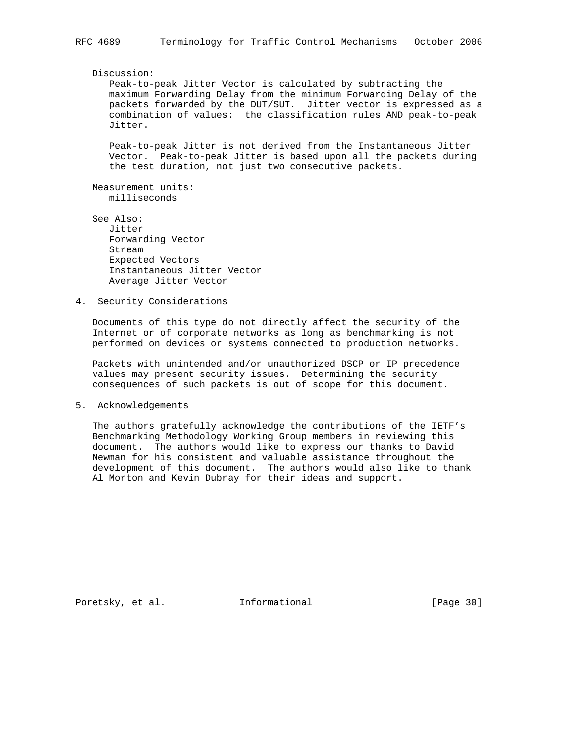## Discussion:

 Peak-to-peak Jitter Vector is calculated by subtracting the maximum Forwarding Delay from the minimum Forwarding Delay of the packets forwarded by the DUT/SUT. Jitter vector is expressed as a combination of values: the classification rules AND peak-to-peak Jitter.

 Peak-to-peak Jitter is not derived from the Instantaneous Jitter Vector. Peak-to-peak Jitter is based upon all the packets during the test duration, not just two consecutive packets.

 Measurement units: milliseconds

- See Also: Jitter Forwarding Vector Stream Expected Vectors Instantaneous Jitter Vector Average Jitter Vector
- 4. Security Considerations

 Documents of this type do not directly affect the security of the Internet or of corporate networks as long as benchmarking is not performed on devices or systems connected to production networks.

 Packets with unintended and/or unauthorized DSCP or IP precedence values may present security issues. Determining the security consequences of such packets is out of scope for this document.

5. Acknowledgements

 The authors gratefully acknowledge the contributions of the IETF's Benchmarking Methodology Working Group members in reviewing this document. The authors would like to express our thanks to David Newman for his consistent and valuable assistance throughout the development of this document. The authors would also like to thank Al Morton and Kevin Dubray for their ideas and support.

Poretsky, et al. **Informational** [Page 30]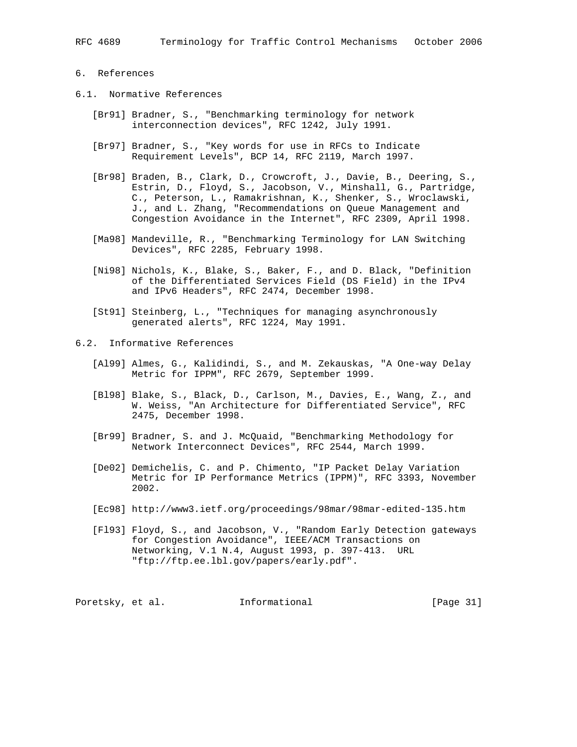# 6. References

- 6.1. Normative References
	- [Br91] Bradner, S., "Benchmarking terminology for network interconnection devices", RFC 1242, July 1991.
	- [Br97] Bradner, S., "Key words for use in RFCs to Indicate Requirement Levels", BCP 14, RFC 2119, March 1997.
	- [Br98] Braden, B., Clark, D., Crowcroft, J., Davie, B., Deering, S., Estrin, D., Floyd, S., Jacobson, V., Minshall, G., Partridge, C., Peterson, L., Ramakrishnan, K., Shenker, S., Wroclawski, J., and L. Zhang, "Recommendations on Queue Management and Congestion Avoidance in the Internet", RFC 2309, April 1998.
	- [Ma98] Mandeville, R., "Benchmarking Terminology for LAN Switching Devices", RFC 2285, February 1998.
	- [Ni98] Nichols, K., Blake, S., Baker, F., and D. Black, "Definition of the Differentiated Services Field (DS Field) in the IPv4 and IPv6 Headers", RFC 2474, December 1998.
	- [St91] Steinberg, L., "Techniques for managing asynchronously generated alerts", RFC 1224, May 1991.
- 6.2. Informative References
	- [Al99] Almes, G., Kalidindi, S., and M. Zekauskas, "A One-way Delay Metric for IPPM", RFC 2679, September 1999.
	- [Bl98] Blake, S., Black, D., Carlson, M., Davies, E., Wang, Z., and W. Weiss, "An Architecture for Differentiated Service", RFC 2475, December 1998.
	- [Br99] Bradner, S. and J. McQuaid, "Benchmarking Methodology for Network Interconnect Devices", RFC 2544, March 1999.
	- [De02] Demichelis, C. and P. Chimento, "IP Packet Delay Variation Metric for IP Performance Metrics (IPPM)", RFC 3393, November 2002.
	- [Ec98] http://www3.ietf.org/proceedings/98mar/98mar-edited-135.htm
	- [Fl93] Floyd, S., and Jacobson, V., "Random Early Detection gateways for Congestion Avoidance", IEEE/ACM Transactions on Networking, V.1 N.4, August 1993, p. 397-413. URL "ftp://ftp.ee.lbl.gov/papers/early.pdf".

Poretsky, et al. 1nformational [Page 31]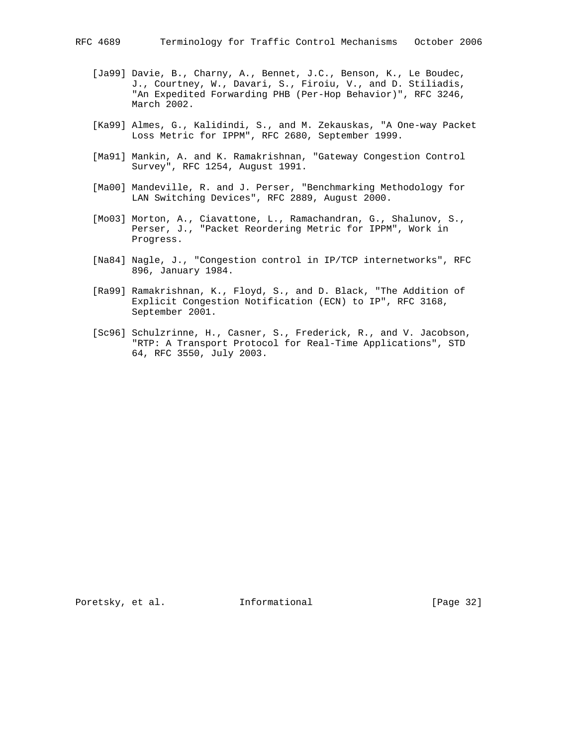- [Ja99] Davie, B., Charny, A., Bennet, J.C., Benson, K., Le Boudec, J., Courtney, W., Davari, S., Firoiu, V., and D. Stiliadis, "An Expedited Forwarding PHB (Per-Hop Behavior)", RFC 3246, March 2002.
- [Ka99] Almes, G., Kalidindi, S., and M. Zekauskas, "A One-way Packet Loss Metric for IPPM", RFC 2680, September 1999.
- [Ma91] Mankin, A. and K. Ramakrishnan, "Gateway Congestion Control Survey", RFC 1254, August 1991.
- [Ma00] Mandeville, R. and J. Perser, "Benchmarking Methodology for LAN Switching Devices", RFC 2889, August 2000.
- [Mo03] Morton, A., Ciavattone, L., Ramachandran, G., Shalunov, S., Perser, J., "Packet Reordering Metric for IPPM", Work in Progress.
- [Na84] Nagle, J., "Congestion control in IP/TCP internetworks", RFC 896, January 1984.
- [Ra99] Ramakrishnan, K., Floyd, S., and D. Black, "The Addition of Explicit Congestion Notification (ECN) to IP", RFC 3168, September 2001.
- [Sc96] Schulzrinne, H., Casner, S., Frederick, R., and V. Jacobson, "RTP: A Transport Protocol for Real-Time Applications", STD 64, RFC 3550, July 2003.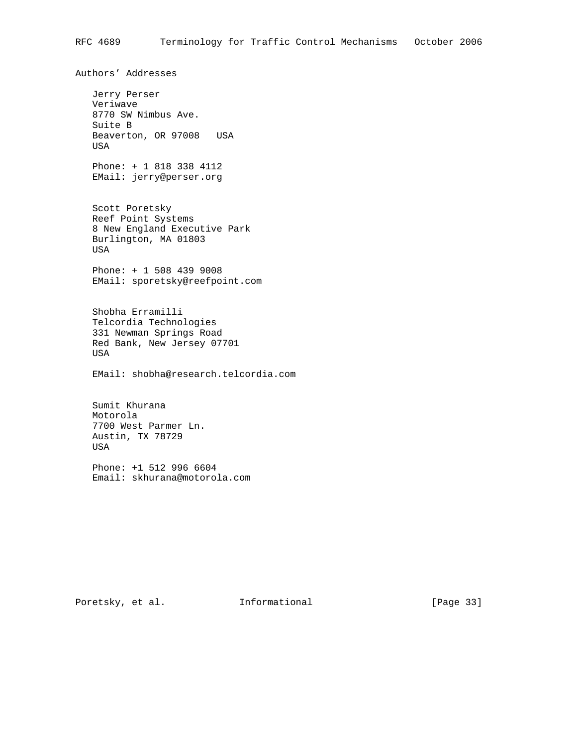Authors' Addresses Jerry Perser Veriwave 8770 SW Nimbus Ave. Suite B Beaverton, OR 97008 USA USA Phone: + 1 818 338 4112 EMail: jerry@perser.org Scott Poretsky Reef Point Systems 8 New England Executive Park Burlington, MA 01803 USA Phone: + 1 508 439 9008 EMail: sporetsky@reefpoint.com Shobha Erramilli Telcordia Technologies 331 Newman Springs Road Red Bank, New Jersey 07701 USA EMail: shobha@research.telcordia.com Sumit Khurana Motorola 7700 West Parmer Ln. Austin, TX 78729 USA Phone: +1 512 996 6604 Email: skhurana@motorola.com

Poretsky, et al. 1nformational [Page 33]